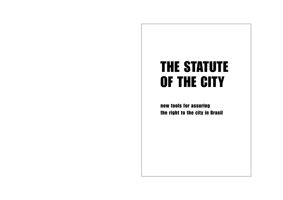# THE STATUTE OF THE CITY

new tools for assuring the right to the city in Brasil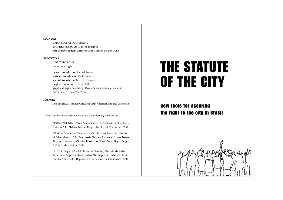#### **SPONSOR**

CAIXA ECONÔMICA FEDERAL **President** Valdery Frota de Albuquerque **Urban Development Director** Aser Cortines Peixoto Filho

#### **EXECUTION**

INSTITUTO PÓLIS www.polis.org.br

**general coordinator** Raquel Rolnik **assistant coordinator** Paula Santoro **spanish translation** Marcelo Canossa **english translation** Jeffrey Hoff **graphic design and editing** Cássia Buitoni, Luciana Facchini **cover design** Paulo Von Poser

#### **SUPPORT**

UN-HABITAT Regional Office for Latin American and The Caribbean

The text in the introduction is based on the following publications:

FERNANDES, Edésio. "New Statute Aims to Make Brazilian Cities More Inclusive". In: Habitat Debate, Kenya, Nairobi, vol. 7, nº 4, dez 2001.

GRAZIA, Grazia de. "Estatuto da Cidade: uma longa história com vitórias e derrotas". In: **Estatuto da Cidade e Reforma Urbana: Novas Perspectivas para as Cidades Brasileiras**, Brasil, Porto Alegre, Sérgio Antônio Fabris Editor, 2002.

ROLNIK, Raquel e SAULE JR, Nelson (coord.) **Estatuto da Cidade – Guia para Implementação pelos Municípios e Cidadãos**. Brasil, Brasília: Câmara dos Deputados, Coordenação de Publicações, 2001.

## THE STATUTE OF THE CITY

## new tools for assuring the right to the city in Brasil

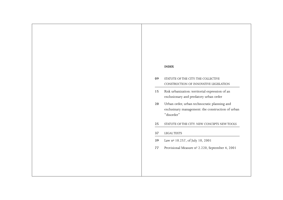#### **INDEX**

| 09 | STATUTE OF THE CITY: THE COLLECTIVE    |
|----|----------------------------------------|
|    | CONSTRUCTION OF INNOVATIVE LEGISLATION |

- **<sup>15</sup>** Risk urbanization: territorial expression of an exclusionary and predatory urban order
- **<sup>20</sup>** Urban order, urban technocratic planning and exclusinary management: the construction of urban "disorder"
- **25** STATUTE OF THE CITY: NEW CONCEPTS NEW TOOLS
- **37** LEGAL TEXTS
- **39** Law nº 10.257, of July 10, 2001
- 77 Provisional Measure nº 2.220, September 4, 2001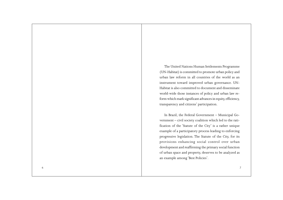The United Nations Human Settlements Programme (UN-Habitat) is committed to promote urban policy and urban law reform in all countries of the world as an instrument toward improved urban governance. UN-Habitat is also committed to document and disseminate world-wide those instances of policy and urban law reform which mark significant advances in equity, efficiency, transparency and citizens' participation.

In Brazil, the Federal Government – Municipal Government – civil society coalition which led to the ratification of the 'Statute of the City' is a rather unique example of a participatory process leading to enforcing progressive legislation. The Statute of the City, for its provisions enhancing social control over urban development and reaffirming the primary social function of urban space and property, deserves to be analyzed as an example among 'Best Policies'.

6  $\overline{\phantom{a}}$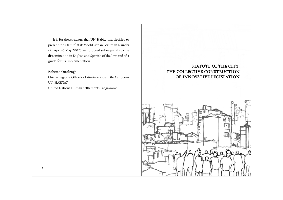It is for these reasons that UN-Habitat has decided to present the 'Statute' at its World Urban Forum in Nairobi (29 April-5 May 2002) and proceed subsequently to the dissemination in English and Spanish of the Law and of a guide for its implementation.

## **Roberto Ottolenghi**

Chief – Regional Office for Latin America and the Caribbean UN-HABITAT United Nations Human Settlements Programme

## **STATUTE OF THE CITY: THE COLLECTIVE CONSTRUCTION OF INNOVATIVE LEGISLATION**

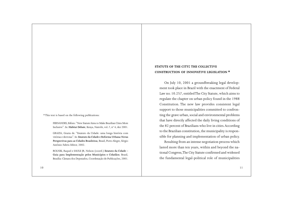\* This text is based on the following publications:

FERNANDES, Edésio. "New Statute Aims to Make Brazilian Cities More Inclusive". In: Habitat Debate, Kenya, Nairobi, vol. 7, nº 4, dez 2001.

GRAZIA, Grazia de. "Estatuto da Cidade: uma longa história com vitórias e derrotas". In: **Estatuto da Cidade e Reforma Urbana: Novas Perspectivas para as Cidades Brasileiras**, Brasil, Porto Alegre, Sérgio Antônio Fabris Editor, 2002.

ROLNIK, Raquel e SAULE JR, Nelson (coord.) **Estatuto da Cidade – Guia para Implementação pelos Municípios e Cidadãos**. Brasil, Brasília: Câmara dos Deputados, Coordenação de Publicações, 2001.

#### **STATUTE OF THE CITY: THE COLLECTIVE CONSTRUCTION OF INNOVATIVE LEGISLATION \***

On July 10, 2001 a groundbreaking legal development took place in Brazil with the enactment of Federal Law no. 10.257, entitled The City Statute, which aims to regulate the chapter on urban policy found in the 1988 Constitution. The new law provides consistent legal support to those municipalities committed to confronting the grave urban, social and environmental problems that have directly affected the daily living conditions of the 82 percent of Brazilians who live in cities. According to the Brazilian constitution, the municipality is responsible for planning and implementation of urban policy.

Resulting from an intense negotiation process which lasted more than ten years, within and beyond the national Congress, The City Statute confirmed and widened the fundamental legal-political role of municipalities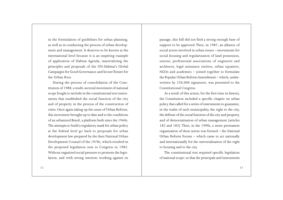in the formulation of guidelines for urban planning, as well as in conducting the process of urban development and management. It deserves to be known at the international level because it is an inspiring example of application of Habitat Agenda, materializing the principles and proposals of the UN-Habitat's Global Campaigns for Good Governance and Secure Tenure for the Urban Poor.

During the process of consolidation of the Constitution of 1988, a multi-sectoral movement of national scope fought to include in the constitutional text instruments that established the social function of the city and of property in the process of the construction of cities. Once again taking up the cause of Urban Reform, this movement brought up to date and to the conditions of an urbanized Brazil, a platform built since the 1960s. The attempts to build a regulatory mark for urban policy at the federal level go back to proposals for urban development law prepared by the then National Urban Development Counsel of the 1970s, which resulted in the proposed legislation sent to Congress in 1983. Without organized social pressure to promote the legislation, and with strong interests working against its

passage, this bill did not find a strong enough base of support to be approved. Then, in 1987, an alliance of social actors involved in urban issues – movements for social housing and regularization of land possession, unions, professional associations of engineers and architects, legal assistance entities, urban squatters, NGOs and academics – joined together to formulate the Popular Urban Reform Amendment – which, underwritten by 250,000 signatures, was presented to the Constitutional Congress.

As a result of this action, for the first time in history, the Constitution included a specific chapter on urban policy that called for a series of instruments to guarantee, in the realm of each municipality, the right to the city, the defense of the social function of the city and property, and of democratization of urban management (articles 182 and 183). Then, in the 1990s, a more permanent organization of these actors was formed – the National Urban Reform Forum – which came to act nationally and internationally for the universalisation of the right to housing and to the city.

The constitutional text required specific legislation of national scope: so that the principals and instruments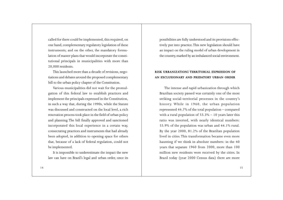called for there could be implemented, this required, on one hand, complementary regulatory legislation of these instruments; and on the other, the mandatory formulation of master plans that would incorporate the constitutional principals in municipalities with more than 20,000 residents.

This launched more than a decade of revisions, negotiations and debates around the proposed complementary bill to the urban policy chapter of the Constitution.

Various municipalities did not wait for the promulgation of this federal law to establish practices and implement the principals expressed in the Constitution, in such a way that, during the 1990s, while the Statute was discussed and constructed on the local level, a rich renovation process took place in the field of urban policy and planning. The bill finally approved and sanctioned incorporated this local experience in a certain way, consecrating practices and instruments that had already been adopted, in addition to opening space for others that, because of a lack of federal regulation, could not be implemented.

It is impossible to underestimate the impact the new law can have on Brazil's legal and urban order, once its

possibilities are fully understood and its provisions effectively put into practice. This new legislation should have an impact on the ruling model of urban development in the country, marked by an imbalanced social environment.

## **RISK URBANIZATION: TERRITORIAL EXPRESSION OF AN EXCLUSIONARY AND PREDATORY URBAN ORDER**

The intense and rapid urbanization through which Brazilian society passed was certainly one of the most striking social-territorial processes in the country's history. While in 1960, the urban population represented 44.7% of the total population – compared with a rural population of  $55.3\% - 10$  years later this ratio was inverted, with nearly identical numbers: 55.9% of the population was urban and 44.1% rural. By the year 2000, 81.2% of the Brazilian population lived in cities. This transformation became even more haunting if we think in absolute numbers: in the 40 years that separate 1960 from 2000, more than 100 million new residents were received by the cities. In Brazil today (year 2000 Census data) there are more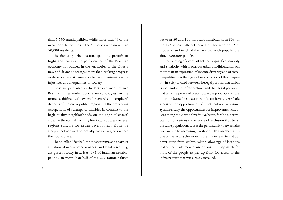than 5,500 municipalities; while more than  $\frac{3}{4}$  of the urban population lives in the 500 cities with more than 50,000 residents.

The dizzying urbanization, spanning periods of highs and lows in the performance of the Brazilian economy, introduced in the territories of the cities a new and dramatic passage: more than evoking progress or development, it came to reflect – and intensify – the injustices and inequalities of society.

These are presented in the large and medium size Brazilian cities under various morphologies: in the immense differences between the central and peripheral districts of the metropolitan regions, in the precarious occupations of swamps or hillsides in contrast to the high quality neighborhoods on the edge of coastal cities, in the eternal dividing line that separates the level regions suitable for urban development, from the steeply inclined and potentially erosive regions where the poorest live.

 The so-called "favelas", the most extreme and sharpest situation of urban precariousness and legal insecurity, are present today in at least 1/3 of Brazilian municipalities: in more than half of the 279 municipalities between 50 and 100 thousand inhabitants, in 80% of the 174 cities with between 100 thousand and 500 thousand and in all of the 26 cities with populations above 500,000 people.

The painting of a contrast between a qualified minority and a majority with precarious urban conditions, is much more than an expression of income disparity and of social inequalities: it is the agent of reproduction of this inequality. In a city divided between the legal portion, that which is rich and with infrastructure, and the illegal portion – that which is poor and precarious – the population that is in an unfavorable situation winds up having very little access to the opportunities of work, culture or leisure. Symmetrically, the opportunities for improvement circulate among those who already live better, for the superimposition of various dimensions of exclusion that befall the same population, causes the permeability between the two parts to be increasingly restricted. This mechanism is one of the factors that extends the city indefinitely: it can never grow from within, taking advantage of locations that can be made more dense because it is impossible for most of the people to pay up front for access to the infrastructure that was already installed.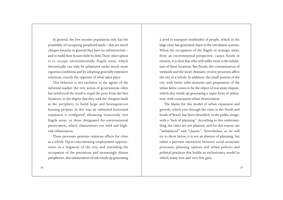In general, the low income population only has the possibility of occupying peripheral lands – that are much cheaper because in general they have no infrastructure – and to build their houses little by little. Their other option is to occupy environmentally fragile areas, which theoretically can only be urbanized under much more rigorous conditions and by adopting generally expensive solutions, exactly the opposite of what takes place.

This behavior is not exclusive to the agents of the informal market: the very action of governments often has reinforced the trend to expel the poor from the best locations, to the degree that they seek the cheapest lands at the periphery to build large and homogeneous housing projects. In this way, an unlimited horizontal expansion is configured, advancing voraciously over fragile areas, or those designated for environmental preservation, which characterizes our wild and highrisk urbanization.

These processes generate ominous effects for cities as a whole. Upon concentrating employment opportunities in a fragment of the city, and extending the occupation of the precarious and increasingly distant peripheries, this urbanization of risk winds up generating a need to transport multitudes of people, which in the large cities has generated chaos in the circulation systems. When the occupation of the fragile or strategic areas, from an environmental perspective, causes floods or erosion, it is clear that who will suffer more is the inhabitant of these locations. But floods, the contamination of wetlands and the more dramatic erosive processes affect the city as a whole. In addition, the small portion of the city with better infra-structure and preparation of the urban fabric comes to be the object of real estate dispute, which also winds up generating a super form of utilization, with consequent urban deterioration.

The blame for this model of urban expansion and growth, which cuts through the cities in the North and South of Brazil, has been identified, in the public image, with a "lack of planning". According to this understanding, the cities are not planned, and for this reason, are "imbalanced" and "chaotic". Nevertheless, as we will try to show below, it is not an absence of planning, but rather a perverse interaction between social-economic processes, planning options and urban policies and political practices that builds an exclusionary model in which many lose and very few gain.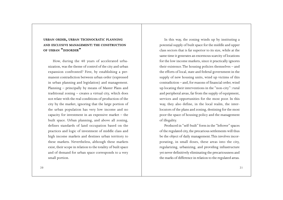## **URBAN ORDER, URBAN TECHNOCRATIC PLANNING AND EXCLUSIVE MANAGEMENT: THE CONSTRUCTION OF URBAN "DISORDER"**

How, during the 40 years of accelerated urbanization, was the theme of control of the city and urban expansion confronted? First, by establishing a permanent contradiction between urban order (expressed in urban planning and legislation) and management. Planning – principally by means of Master Plans and traditional zoning – creates a virtual city, which does not relate with the real conditions of production of the city by the market, ignoring that the large portion of the urban population has very low income and no capacity for investment in an expensive market – the built space. Urban planning, and above all zoning, defines standards of land occupation based on the practices and logic of investment of middle class and high income markets and destines urban territory to these markets. Nevertheless, although these markets exist, their scope in relation to the totality of built space and of demand for urban space corresponds to a very small portion.

In this way, the zoning winds up by instituting a potential supply of built space for the middle and upper class sectors that is far superior to its size, while at the same time it generates an enormous scarcity of locations for the low income markets, since it practically ignores their existence. The housing policies themselves – and the efforts of local, state and federal government in the supply of new housing units, wind up victims of this contradiction – and, for reasons of financial order, wind up locating their interventions in the "non-city": rural and peripheral areas, far from the supply of equipment, services and opportunities for the most poor. In this way, they also define, in the local realm, the interlocutors of the plans and zoning, destining for the most poor the space of housing policy and the management of illegality.

Produced in "self-built" form in the "leftover" spaces of the regulated city, the precarious settlements will thus be the object of daily management. This involves incorporating, in small doses, these areas into the city, regularizing, urbanizing, and providing infrastructure yet never definitively eliminating the precariousness and the marks of difference in relation to the regulated areas.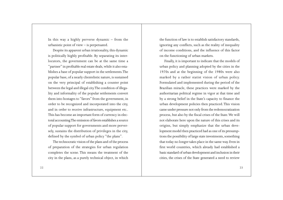In this way a highly perverse dynamic – from the urbanistic point of view – is perpetuated.

Despite its apparent urban irrationality, this dynamic is politically highly profitable. By separating its interlocutors, the government can be at the same time a "partner" in profitable real estate deals, while it also establishes a base of popular support in the settlements. The popular base, of a nearly clientelistic nature, is sustained on the very principal of establishing a counter point between the legal and illegal city. The condition of illegality and informality of the popular settlements convert them into hostages to "favors" from the government, in order to be recognized and incorporated into the city, and in order to receive infrastructure, equipment etc.. This has become an important form of currency in electoral accounting. The emission of favors establishes a source of popular support for governments and more perversely, sustains the distribution of privileges in the city, defined by the symbol of urban policy "the plans".

The technocratic vision of the plans and of the process of preparation of the strategies for urban regulation completes the scene. This means the treatment of the city in the plans, as a purely technical object, in which the function of law is to establish satisfactory standards, ignoring any conflicts, such as the reality of inequality of income conditions, and the influence of this factor on the functioning of urban markets.

Finally, it is important to indicate that the models of urban policy and planning adopted by the cities in the 1970s and at the beginning of the 1980s were also marked by a rather statist vision of urban policy. Formulated and implemented during the period of the Brazilian miracle, these practices were marked by the authoritarian political regime in vigor at that time and by a strong belief in the State's capacity to finance the urban development policies then practiced. This vision came under pressure not only from the redemocratization process, but also by the fiscal crises of the State. We will not elaborate here upon the nature of this crises and its origins, but simply emphasize that the urban development model then practiced had as one of its presumptions the possibility of large state investments, something that today no longer takes place in the same way. Even in first world countries, which already had established a basic standard of urban development and inclusion in their cities, the crises of the State generated a need to review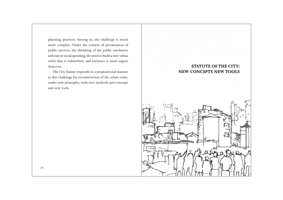planning practices. Among us, the challenge is much more complex. Under the context of privatization of public services, the shrinking of the public machinery and cuts in social spending, the need to build a new urban order that is redistribute and inclusive is more urgent than ever.

The City Statute responds in a propositional manner to this challenge for reconstruction of the urban order, under new principles, with new methods and concepts and new tools.

## **STATUTE OF THE CITY: NEW CONCEPTS NEW TOOLS**

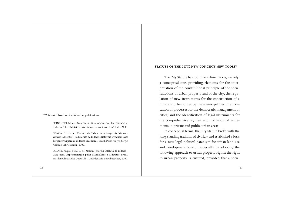\* This text is based on the following publications:

FERNANDES, Edésio. "New Statute Aims to Make Brazilian Cities More Inclusive". In: Habitat Debate, Kenya, Nairobi, vol. 7, nº 4, dez 2001.

GRAZIA, Grazia de. "Estatuto da Cidade: uma longa história com vitórias e derrotas". In: **Estatuto da Cidade e Reforma Urbana: Novas Perspectivas para as Cidades Brasileiras**, Brasil, Porto Alegre, Sérgio Antônio Fabris Editor, 2002.

ROLNIK, Raquel e SAULE JR, Nelson (coord.) **Estatuto da Cidade – Guia para Implementação pelos Municípios e Cidadãos**. Brasil, Brasília: Câmara dos Deputados, Coordenação de Publicações, 2001.

#### **STATUTE OF THE CITY: NEW CONCEPTS NEW TOOLS\***

The City Statute has four main dimensions, namely: a conceptual one, providing elements for the interpretation of the constitutional principle of the social functions of urban property and of the city; the regulation of new instruments for the construction of a different urban order by the municipalities; the indication of processes for the democratic management of cities; and the identification of legal instruments for the comprehensive regularization of informal settlements in private and public urban areas.

In conceptual terms, the City Statute broke with the long-standing tradition of civil law and established a basis for a new legal-political paradigm for urban land use and development control, especially by adopting the following approach to urban property rights: the right to urban property is ensured, provided that a social

26  $\sim$  27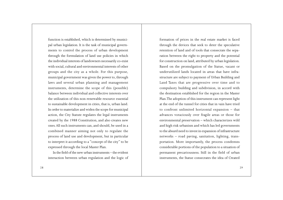function is established, which is determined by municipal urban legislation. It is the task of municipal governments to control the process of urban development through the formulation of land use policies in which the individual interests of landowners necessarily co-exist with social, cultural and environmental interests of other groups and the city as a whole. For this purpose, municipal government was given the power to, through laws and several urban planning and management instruments, determine the scope of this (possible) balance between individual and collective interests over the utilization of this non-renewable resource essential to sustainable development in cities, that is, urban land. In order to materialize and widen the scope for municipal action, the City Statute regulates the legal instruments created by the 1988 Constitution, and also creates new ones. All such instruments can, and should, be used in a combined manner aiming not only to regulate the process of land use and development, but in particular to interpret it according to a "concept of the city" to be expressed through the local Master Plan.

In the field of the new urban instruments – the evident interaction between urban regulation and the logic of formation of prices in the real estate market is faced through the devices that seek to deter the speculative retention of land and of tools that consecrate the separation between the right to property and the potential for construction on land, attributed by urban legislation. Based on the promulgation of the Statue, vacant or underutilized lands located in areas that have infrastructure are subject to payment of Urban Building and Land Taxes that are progressive over time and to compulsory building and subdivision, in accord with the destination established for the region in the Master Plan. The adoption of this instrument can represent light at the end of the tunnel for cities that in vain have tried to confront unlimited horizontal expansion – that advances voraciously over fragile areas or those for environmental preservation – which characterizes wild and high risk urbanism and which has led governments to the absurd need to invest in expansion of infrastructure networks – road paving, sanitation, lighting, transportation. More importantly, the process condemns considerable portions of the population to a situation of permanent precariousness. Still in the field of urban instruments, the Statue consecrates the idea of Created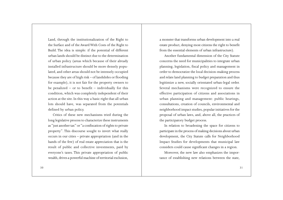Land, through the institutionalization of the Right to the Surface and of the Award With Costs of the Right to Build. The idea is simple: if the potential of different urban lands should be distinct due to the determination of urban policy (areas which because of their already installed infrastructure should be more densely populated, and other areas should not be intensely occupied because they are of high risk – of landslides or flooding for example), it is not fair for the property owners to be penalized – or to benefit – individually for this condition, which was completely independent of their action at the site. In this way a basic right that all urban lots should have, was separated from the potentials defined by urban policy.

Critics of these new mechanisms tried during the long legislative process to characterize these instruments as "just another tax" or "a confiscation of rights to private property". This discourse sought to invert what really occurs in our cities – private appropriation (and in the hands of the few) of real estate appreciation that is the result of public and collective investments, paid by everyone's taxes. This private appropriation of public wealth, drives a powerful machine of territorial exclusion,

a monster that transforms urban development into a real estate product, denying most citizens the right to benefit from the essential elements of urban infrastructure).

Another fundamental dimension of the City Statute concerns the need for municipalities to integrate urban planning, legislation, fiscal policy and management in order to democratize the local decision-making process and relate land planning to budget preparation and thus legitimize a new, socially orientated urban-legal order. Several mechanisms were recognized to ensure the effective participation of citizens and associations in urban planning and management: public hearings, consultations, creation of councils, environmental and neighborhood impact studies, popular initiatives for the proposal of urban laws, and, above all, the practices of the participatory budget process.

In relation to broadening the space for citizens to participate in the process of making decisions about urban development, the City Statute calls for Neighborhood Impact Studies for developments that municipal law considers could cause significant changes in a region.

Moreover, the new law also emphasizes the importance of establishing new relations between the state,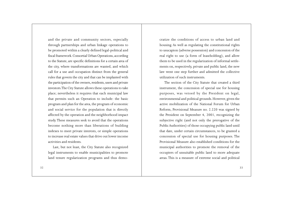and the private and community sectors, especially through partnerships and urban linkage operations to be promoted within a clearly defined legal-political and fiscal framework. Consortial Urban Operations, according to the Statute, are specific definitions for a certain area of the city, where transformations are wanted, and which call for a use and occupation distinct from the general rules that govern the city and that can be implanted with the participation of the owners, residents, users and private investors. The City Statute allows these operations to take place; nevertheless it requires that each municipal law that permits such an Operation to include: the basic program and plan for the area, the program of economic and social service for the population that is directly affected by the operation and the neighborhood impact study. These measures seek to avoid that the operations become nothing more than liberations of building indexes to meet private interests, or simple operations to increase real estate values that drive out lower income activities and residents.

Last, but not least, the City Statute also recognized legal instruments to enable municipalities to promote land tenure regularization programs and thus demo-

cratize the conditions of access to urban land and housing. As well as regulating the constitutional rights to usucapion (adverse possession) and concession of the real right to use (a form of leaseholding), and allow them to be used in the regularization of informal settle ments on, respectively, private and public land, the new law went one step further and admitted the collective utilization of such instruments.

The section of the City Statute that created a third instrument, the concession of special use for housing purposes, was vetoed by the President on legal, environmental and political grounds. However, given the active mobilization of the National Forum for Urban Reform, Provisional Measure no. 2.220 was signed by the President on September 4, 2001, recognizing the subjective right (and not only the prerogative of the Public Authorities) of those occupying public land until that date, under certain circumstances, to be granted a concession of special use for housing purposes. The Provisional Measure also established conditions for the municipal authorities to promote the removal of the occupiers of unsuitable public land to more adequate areas. This is a measure of extreme social and political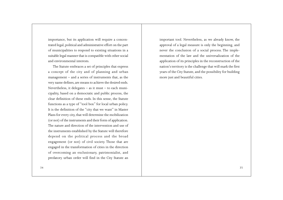importance, but its application will require a concentrated legal, political and administrative effort on the part of municipalities to respond to existing situations in a suitable legal manner that is compatible with other social and environmental interests.

The Statute embraces a set of principles that express a concept of the city and of planning and urban management – and a series of instruments that, as the very name defines, are means to achieve the desired ends. Nevertheless, it delegates – as it must – to each municipality, based on a democratic and public process, the clear definition of these ends. In this sense, the Statute functions as a type of "tool box" for local urban policy. It is the definition of the "city that we want" in Master Plans for every city, that will determine the mobilization (or not) of the instruments and their form of application. The nature and direction of the intervention and use of the instruments established by the Statute will therefore depend on the political process and the broad engagement (or not) of civil society. Those that are engaged in the transformation of cities in the direction of overcoming an exclusionary, patrimonialist, and predatory urban order will find in the City Statute an

important tool. Nevertheless, as we already know, the approval of a legal measure is only the beginning, and never the conclusion of a social process. The implementation of the law and the universalization of the application of its principles in the reconstruction of the nation's territory is the challenge that will mark the first years of the City Statute, and the possibility for building more just and beautiful cities.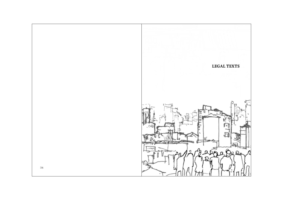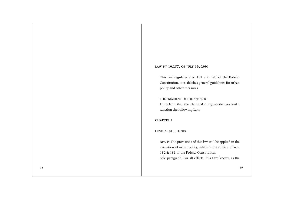## **LAW <sup>N</sup><sup>O</sup> 10.257, OF JULY 10, 2001**

This law regulates arts. 182 and 183 of the Federal Constitution, it establishes general guidelines for urban policy and other measures.

THE PRESIDENT OF THE REPUBLIC I proclaim that the National Congress decrees and I sanction the following Law:

#### **CHAPTER I**

#### GENERAL GUIDELINES

Art. 1<sup>o</sup> The provisions of this law will be applied in the execution of urban policy, which is the subject of arts. 182 & 183 of the Federal Constitution. Sole paragraph. For all effects, this Law, known as the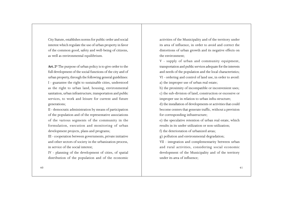City Statute, establishes norms for public order and social interest which regulate the use of urban property in favor of the common good, safety and well-being of citizens, as well as environmental equilibrium.

Art. 2<sup>o</sup> The purpose of urban policy is to give order to the full development of the social functions of the city and of urban property, through the following general guidelines: I - guarantee the right to sustainable cities, understood as the right to urban land, housing, environmental sanitation, urban infrastructure, transportation and public services, to work and leisure for current and future generations;

II - democratic administration by means of participation of the population and of the representative associations of the various segments of the community in the formulation, execution and monitoring of urban development projects, plans and programs;

III - cooperation between governments, private initiative and other sectors of society in the urbanization process, in service of the social interest;

IV - planning of the development of cities, of spatial distribution of the population and of the economic activities of the Municipality and of the territory under its area of influence, in order to avoid and correct the distortions of urban growth and its negative effects on the environment;

V - supply of urban and community equipment, transportation and public services adequate for the interests and needs of the population and the local characteristics; VI - ordering and control of land use, in order to avoid: a) the improper use of urban real estate;

b) the proximity of incompatible or inconvenient uses; c) the sub-division of land, construction or excessive or improper use in relation to urban infra-structure;

d) the installation of developments or activities that could become centers that generate traffic, without a prevision for corresponding infrastructure;

e) the speculative retention of urban real estate, which results in its under utilization or non-utilization;

f) the deterioration of urbanized areas;

g) pollution and environmental degradation;

VII - integration and complementarity between urban and rural activities, considering social economic development of the Municipality and of the territory under its area of influence;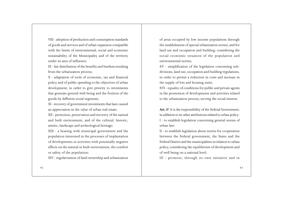VIII - adoption of production and consumption standards of goods and services and of urban expansion compatible with the limits of environmental, social and economic sustainability of the Municipality and of the territory under its area of influence;

IX - fair distribution of the benefits and burdens resulting from the urbanization process;

X - adaptation of tools of economic, tax and financial policy and of public spending to the objectives of urban development, in order to give priority to investments that generate general well-being and the fruition of the goods by different social segments;

XI - recovery of government investments that have caused an appreciation in the value of urban real estate;

XII - protection, preservation and recovery of the natural and built environment, and of the cultural, historic, artistic, landscape and archeological heritage;

XIII - a hearing with municipal government and the population interested in the processes of implantation of developments or activities with potentially negative effects on the natural or built environment, the comfort or safety of the population;

XIV - regularization of land ownership and urbanization

of areas occupied by low income populations through the establishment of special urbanization norms, and for land use and occupation and building, considering the social economic situation of the population and environmental norms;

XV - simplification of the legislation concerning subdivisions, land use, occupation and building regulations, in order to permit a reduction in costs and increase in the supply of lots and housing units;

XVI - equality of conditions for public and private agents in the promotion of developments and activities related to the urbanization process, serving the social interest.

Art. 3<sup>o</sup> It is the responsibility of the Federal Government, in addition to its other attributions related to urban policy: I - to establish legislation concerning general norms of urban law:

II - to establish legislation about norms for cooperation between the Federal government, the States and the Federal District and the municipalities in relation to urban policy, considering the equilibrium of development and of well being on a national level;

III - promote, through its own initiative and in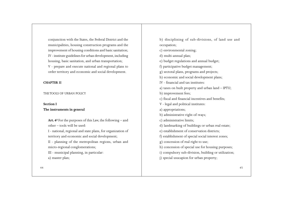conjunction with the States, the Federal District and the municipalities, housing construction programs and the improvement of housing conditions and basic sanitation; IV - institute guidelines for urban development, including housing, basic sanitation, and urban transportation; V - prepare and execute national and regional plans to order territory and economic and social development.

#### **CHAPTER II**

THE TOOLS OF URBAN POLICY

## **Section I The instruments in general**

Art. 4<sup>o</sup> For the purposes of this Law, the following – and other – tools will be used:

I - national, regional and state plans, for organization of territory and economic and social development;

II - planning of the metropolitan regions, urban and micro-regional conglomerations;

III - municipal planning, in particular: a) master plan;

b) disciplining of sub-divisions, of land use and occupation; c) environmental zoning; d) multi-annual plan; e) budget regulations and annual budget; f) participative budget management; g) sectoral plans, programs and projects; h) economic and social development plans; IV - financial and tax institutes: a) taxes on built property and urban land – IPTU; b) improvement fees; c) fiscal and financial incentives and benefits; V - legal and political institutes: a) appropriations; b) administrative right-of-ways; c) administrative limits; d) landmarking of buildings or urban real estate; e) establishment of conservation districts; f) establishment of special social interest zones; g) concession of real right to use; h) concession of special use for housing purposes; i) compulsory sub-division, building or utilization; j) special usucapion for urban property;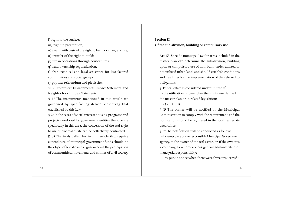- l) right to the surface;
- m) right to preemption;
- n) award with costs of the right to build or change of use;
- o) transfer of the right to build;
- p) urban operations through consortiums;
- q) land ownership regularization;
- r) free technical and legal assistance for less favored communities and social groups;
- s) popular referendum and plebiscite;
- VI Pre-project Environmental Impact Statement and Neighborhood Impact Statements.
- §  $1°$  The instruments mentioned in this article are governed by specific legislation, observing that established by this Law.
- $\S 2^{\circ}$  In the cases of social interest housing programs and projects developed by government entities that operate specifically in this area, the concession of the real right to use public real estate can be collectively contracted. §  $3°$  The tools called for in this article that require expenditure of municipal government funds should be the object of social control, guaranteeing the participation

of communities, movements and entities of civil society.

#### **Section II**

#### **Of the sub-division, building or compulsory use**

Art. 5<sup>o</sup> Specific municipal law for areas included in the master plan can determine the sub-division, building upon or compulsory use of non-built, under utilized or not utilized urban land, and should establish conditions and deadlines for the implementation of the referred to obligations.

- §  $1^{\circ}$  Real estate is considered under utilized if:
- I the utilization is lower than the minimum defined in the master plan or in related legislation;
- II (VETOED)
- §  $2<sup>o</sup>$  The owner will be notified by the Municipal Administration to comply with the requirement, and the notification should be registered in the local real estate deed office.
- § 3º The notification will be conducted as follows:
- I by employee of the responsible Municipal Government agency, to the owner of the real estate, or, if the owner is a company, to whomever has general administrative or managerial responsibility;
- II by public notice when there were three unsuccessful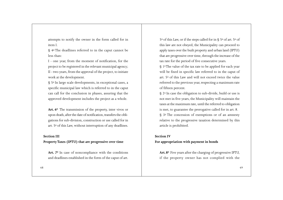attempts to notify the owner in the form called for in item I.

 $\S$  4 $\textdegree$  The deadlines referred to in the caput cannot be less than:

I - one year, from the moment of notification, for the project to be registered in the relevant municipal agency; II - two years, from the approval of the project, to initiate work at the development.

§ 5<sup>°</sup> In large scale developments, in exceptional cases, a specific municipal law which is referred to in the caput can call for the conclusion in phases, assuring that the approved development includes the project as a whole.

Art. 6<sup>o</sup> The transmission of the property, inter vivos or upon death, after the date of notification, transfers the obligations for sub-division, construction or use called for in art.  $5^{\circ}$  of this Law, without interruption of any deadlines.

#### **Section III**

#### **Property Taxes (IPTU) that are progressive over time**

Art. 7<sup>o</sup> In case of noncompliance with the conditions and deadlines established in the form of the caput of art.  $5^{\circ}$  of this Law, or if the steps called for in §  $5^{\circ}$  of art.  $5^{\circ}$  of this law are not obeyed, the Municipality can proceed to apply taxes over the built property and urban land (IPTU) that are progressive over time, through the increase of the tax rate for the period of five consecutive years.

 $\S$  1°The value of the tax rate to be applied for each year will be fixed in specific law referred to in the caput of art.  $5^{\circ}$  of this Law and will not exceed twice the value referred to the previous year, respecting a maximum rate of fifteen percent.

 $\S 2^{\circ}$  In case the obligation to sub-divide, build or use is not met in five years, the Municipality will maintain the taxes at the maximum rate, until the referred to obligation is met, to guarantee the prerogative called for in art. 8.  $\S$  3<sup>o</sup> The concession of exemptions or of an amnesty relative to the progressive taxation determined by this article is prohibited.

#### **Section IV**

## **For appropriation with payment in bonds**

Art. 8<sup>o</sup> Five years after the charging of progressive IPTU, if the property owner has not complied with the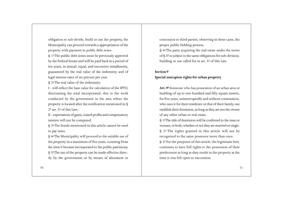obligation to sub-divide, build or use the property, the Municipality can proceed towards a appropriation of the property with payment in public debt notes.

§ 1°The public debt notes must be previously approved by the Federal Senate and will be paid back in a period of ten years, in annual, equal, and successive installments, guaranteed by the real value of the indemnity and of legal interest rates of six percent per year.

§  $2^{\circ}$  The real value of the indemnity:

I - will reflect the base value for calculation of the IPTU, discounting the total incorporated, due to the work conducted by the government in the area where the property is located after the notification mentioned in §  $2^{\circ}$  art.  $5^{\circ}$  of this Law;

II - expectations of gains, ceased profits and compensatory interest will not be computed.

§ 3ºThe bonds mentioned in this article cannot be used to pay taxes.

§ 4º The Municipality will proceed to the suitable use of the property in a maximum of five years, counting from the time it became incorporated to the public patrimony. § 5°The use of the property can be made effective directly by the government or by means of alienation or concession to third parties, observing in these cases, the proper public bidding process.  $\S$  6<sup>o</sup> The party acquiring the real estate under the terms of §  $5^\circ$  is subject to the same obligations for sub-division, building or use called for in art.  $5^{\circ}$  of this Law.

#### **Section V**

### **Special usucapion rights for urban property**

Art. 9<sup>o</sup> Someone who has possession of an urban area or building of up to two hundred and fifty square meters, for five years, uninterruptedly and without contestation, who uses it for their residence or that of their family, can establish their dominion, as long as they are not the owner of any other urban or real estate.

§ 1°The title of dominion will be conferred to the man or woman, or both, whether or not they are married or single. §  $2°$  The rights granted in this article will not be recognized to the same possessor more than once.  $\S$  3<sup>o</sup> For the purposes of this article, the legitimate heir, continues to have full rights to the possession of their predecessor as long as they reside in the property at the time it was left open to succession.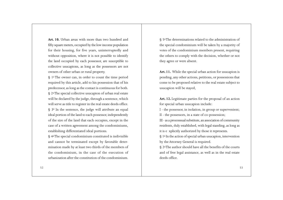**Art. 10.** Urban areas with more than two hundred and fifty square meters, occupied by the low income population for their housing, for five years, uninterruptedly and without opposition, where it is not possible to identify the land occupied by each possessor, are susceptible to collective usucapions, as long as the possessors are not owners of other urban or rural property.

§  $1^{\circ}$  The owner can, in order to count the time period required by this article, add to his possession that of his predecessor, as long as the contact is continuous for both. § 2º The special collective usucapion of urban real estate will be declared by the judge, through a sentence, which will serve as title to register in the real estate deeds office. §  $3<sup>°</sup>$  In the sentence, the judge will attribute an equal ideal portion of the land to each possessor, independently of the size of the land that each occupies, except in the case of a written agreement among the condominiums, establishing differentiated ideal portions.

§ 4º The special condominium constituted is indivisible and cannot be terminated except by favorable determination made by at least two thirds of the members of the condominium, in the case of the execution of urbanization after the constitution of the condominium.

§ 5°The determinations related to the administration of the special condominium will be taken by a majority of votes of the condominium members present, requiring the others to comply with the decision, whether or not they agree or were absent.

**Art. 11.** While the special urban action for usucapion is pending, any other actions, petitions, or possessions that come to be proposed relative to the real estate subject to usucapion will be stayed,

**Art. 12.** Legitimate parties for the proposal of an action for special urban usucapion include:

I - the possessor, in isolation, in group or supervenient; II - the possessors, in a state of co-possession;

III - as a processsual substitute, an association of community residents, duly established, with legal standing, as long as it is e xplicitly authorized by those it represents.

§  $1^{\circ}$  In the action of special urban usucapion, intervention by the Attorney General is required.

§ 2º The author should have all the benefits of the courts and of free legal assistance, as well as in the real estate deeds office.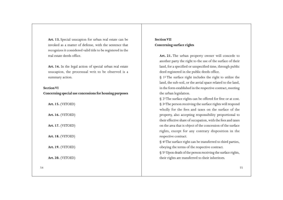**Art. 13.** Special usucapion for urban real estate can be invoked as a matter of defense, with the sentence that recognizes it considered valid title to be registered in the real estate deeds office.

**Art. 14.** In the legal action of special urban real estate usucapion, the processual writ to be observed is a summary action.

#### **Section VI**

**Concerning special use concessions for housing purposes**

**Art. 15.** (VETOED)

**Art. 16.** (VETOED)

**Art. 17.** (VETOED)

**Art. 18.** (VETOED)

**Art. 19.** (VETOED)

**Art. 20.** (VETOED)

## **Section VII Concerning surface rights**

**Art. 21.** The urban property owner will concede to another party the right to the use of the surface of their land, for a specified or unspecified time, through public deed registered in the public deeds office.

 $\S$  1<sup>o</sup> The surface right includes the right to utilize the land, the sub-soil, or the aerial space related to the land, in the form established in the respective contract, meeting the urban legislation.

 $\S$  2<sup>o</sup> The surface rights can be offered for free or at cost. § 3°The person receiving the surface rights will respond wholly for the fees and taxes on the surface of the property, also accepting responsibility proportional to their effective share of occupation, with the fees and taxes on the area that is object of the concession of the surface rights, except for any contrary disposition in the respective contract.

 $\S 4^{\circ}$ The surface right can be transferred to third parties, obeying the terms of the respective contract.

§  $5^{\circ}$  Upon death of the person receiving the surface rights, their rights are transferred to their inheritors.

 $54$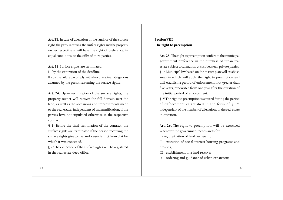**Art. 22.** In case of alienation of the land, or of the surface right, the party receiving the surface rights and the property owner respectively, will have the right of preference, in equal conditions, to the offer of third parties.

**Art. 23.** Surface rights are terminated:

I - by the expiration of the deadline;

II - by the failure to comply with the contractual obligations assumed by the person assuming the surface rights.

**Art. 24.** Upon termination of the surface rights, the property owner will recover the full domain over the land, as well as the accessions and improvements made to the real estate, independent of indemnification, if the parties have not stipulated otherwise in the respective contract.

 $\S$  1<sup>o</sup> Before the final termination of the contract, the surface rights are terminated if the person receiving the surface rights give to the land a use distinct from that for which it was conceded.

§ 2º The extinction of the surface rights will be registered in the real estate deed office.

## **Section VIII The right to preemption**

**Art. 25.** The right to preemption confers to the municipal government preference in the purchase of urban real estate subject to alienation at cost between private parties.  $\S 1^{\circ}$  Municipal law based on the master plan will establish areas in which will apply the right to preemption and will establish a period of enforcement, not greater than five years, renewable from one year after the duration of the initial period of enforcement.

 $\S 2^{\circ}$ The right to preemption is assured during the period of enforcement established in the form of §  $1^\circ$ , independent of the number of alienations of the real estate in question.

Art. 26. The right to preemption will be exercised whenever the government needs areas for:

I - regularization of land ownership;

II - execution of social interest housing programs and projects;

III - establishment of a land reserve;

IV - ordering and guidance of urban expansion;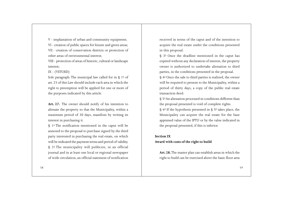V - implantation of urban and community equipment; VI - creation of public spaces for leisure and green areas; VII - creation of conservation districts or protection of other areas of environmental interest;

VIII - protection of areas of historic, cultural or landscape interest;

IX - (VETOED)

Sole paragraph. The municipal law called for in §  $1^{\circ}$  of art. 25 of this Law should include each area in which the right to preemption will be applied for one or more of the purposes indicated by this article.

**Art. 27.** The owner should notify of his intention to alienate the property so that the Municipality, within a maximum period of 30 days, manifests by writing its interest in purchasing it.

§  $1°$  The notification mentioned in the caput will be annexed to the proposal to purchase signed by the third party interested in purchasing the real estate, on which will be indicated the payment terms and period of validity. §  $2°$  The municipality will publicize, in an official journal and in at least one local or regional newspaper of wide circulation, an official statement of notification

received in terms of the caput and of the intention to acquire the real estate under the conditions presented in this proposal.

§  $3°$  Once the deadline mentioned in the caput has expired without any declaration of interest, the property owner is authorized to undertake alienation to third parties, in the conditions presented in the proposal.

 $\S 4^{\circ}$  Once the sale to third parties is realized, the owner will be required to present to the Municipality, within a period of thirty days, a copy of the public real estate transaction deed.

 $\S$  5<sup>o</sup> An alienation processed in conditions different than the proposal presented is void of complete rights. §  $6^{\circ}$  If the hypothesis presented in §  $5^{\circ}$  takes place, the Municipality can acquire the real estate for the base appraised value of the IPTU or by the value indicated in the proposal presented, if this is inferior.

#### **Section IX**

**Award with costs of the right to build**

**Art. 28.** The master plan can establish areas in which the right to build can be exercised above the basic floor area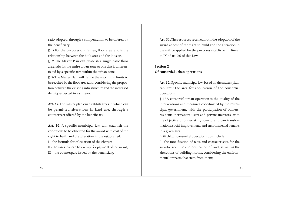ratio adopted, through a compensation to be offered by the beneficiary.

 $\S$  1<sup>o</sup> For the purposes of this Law, floor area ratio is the relationship between the built area and the lot size. § 2º The Master Plan can establish a single basic floor area ratio for the entire urban zone or one that is differen-

tiated by a specific area within the urban zone. § 3<sup>o</sup> The Master Plan will define the maximum limits to

be reached by the floor area ratio, considering the proportion between the existing infrastructure and the increased density expected in each area.

**Art. 29.** The master plan can establish areas in which can be permitted alterations in land use, through a counterpart offered by the beneficiary.

**Art. 30.** A specific municipal law will establish the conditions to be observed for the award with cost of the right to build and the alteration in use established: I - the formula for calculation of the charge; II - the cases that can be exempt for payment of the award; III - the counterpart issued by the beneficiary.

**Art. 31.** The resources received from the adoption of the award at cost of the right to build and the alteration in use will be applied for the purposes established in lines I to IX of art. 26 of this Law.

#### **Section X**

#### **Of consortial urban operations**

**Art. 32.** Specific municipal law, based on the master plan, can limit the area for application of the consortial operations.

 $\S$  1<sup>o</sup> A consortial urban operation is the totality of the interventions and measures coordinated by the municipal government, with the participation of owners, residents, permanent users and private investors, with the objective of undertaking structural urban transformations, social improvements and environmental benefits in a given area.

§  $2°$  Urban consortial operations can include:

I - the modification of rates and characteristics for the sub-division, use and occupation of land, as well as the alterations of building norms, considering the environmental impacts that stem from them;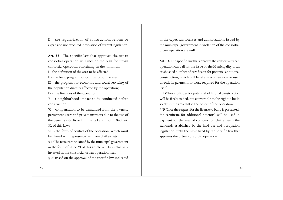II - the regularization of construction, reform or expansion not executed in violation of current legislation.

**Art. 33.** The specific law that approves the urban consortial operation will include the plan for urban consortial operation, containing, in the minimum:

I - the definition of the area to be affected;

II - the basic program for occupation of the area;

III - the program for economic and social servicing of the population directly affected by the operation;

IV - the finalities of the operation;

V - a neighborhood impact study conducted before construction;

VI - compensation to be demanded from the owners, permanent users and private investors due to the use of the benefits established in inserts I and II of  $\S 2^{\circ}$  of art. 32 of this Law;

VII - the form of control of the operation, which must be shared with representatives from civil society.  $\S 1^{\circ}$ The resources obtained by the municipal government in the form of insert VI of this article will be exclusively invested in the consortial urban operation itself.

 $\S$  2<sup>o</sup> Based on the approval of the specific law indicated

in the caput, any licenses and authorizations issued by the municipal government in violation of the consortial urban operation are null.

**Art. 34.** The specific law that approves the consortial urban operation can call for the issue by the Municipality of an established number of certificates for potential additional construction, which will be alienated at auction or used directly in payment for work required for the operation itself.

 $\S 1^{\circ}$ The certificates for potential additional construction will be freely traded, but convertible to the right to build solely in the area that is the object of the operation.

 $\S 2^{\circ}$  Once the request for the license to build is presented, the certificate for additional potential will be used in payment for the area of construction that exceeds the standards established by the land use and occupation legislation, until the limit fixed by the specific law that approves the urban consortial operation.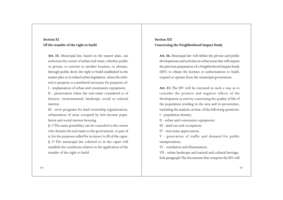## **Section XI Of the transfer of the right to build**

**Art. 35.** Municipal law, based on the master plan, can authorize the owner of urban real estate, whether public or private, to exercise in another location, or alienate, through public deed, the right to build established in the master plan or in related urban legislation, when the referred to property is considered necessary for purposes of: I - implantation of urban and community equipment; II - preservation when the real estate considered is of historic, environmental, landscape, social or cultural interest;

III - serve programs for land ownership regularization, urbanization of areas occupied by low-income population and social interest housing.

 $\S$  1<sup>o</sup> The same possibility can be conceded to the owner who donates his real estate to the government, or part of it, for the purposes called for in items I to III of the caput.  $\S$  2<sup>o</sup> The municipal law referred to in the caput will establish the conditions relative to the application of the transfer of the right to build.

## **Section XII Concerning the Neighborhood Impact Study**

**Art. 36.** Municipal law will define the private and public developments and activities in urban areas that will require the previous preparation of a Neighborhood Impact Study (EIV) to obtain the licenses or authorizations to build, expand or operate from the municipal government.

**Art. 37.** The EIV will be executed in such a way as to consider the positive and negative effects of the development or activity concerning the quality of life of the population residing in the area and its proximities, including the analysis, at least, of the following questions: I - population density;

II - urban and community equipment;

III - land use and occupation;

IV - real estate appreciation;

V - generation of traffic and demand for public transportation;

VI - ventilation and illumination;

VII - urban landscape and natural and cultural heritage. Sole paragraph. The documents that comprise the EIV will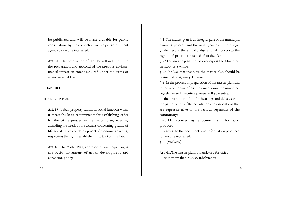be publicized and will be made available for public consultation, by the competent municipal government agency to anyone interested.

**Art. 38.** The preparation of the EIV will not substitute the preparation and approval of the previous environmental impact statement required under the terms of environmental law.

#### **CHAPTER III**

#### THE MASTER PLAN

**Art. 39.** Urban property fulfills its social function when it meets the basic requirements for establishing order for the city expressed in the master plan, assuring attending the needs of the citizens concerning quality of life, social justice and development of economic activities, respecting the rights established in art.  $2^{\circ}$  of this Law.

**Art. 40.** The Master Plan, approved by municipal law, is the basic instrument of urban development and expansion policy.

 $\S$  1°The master plan is an integral part of the municipal planning process, and the multi-year plan, the budget guidelines and the annual budget should incorporate the rights and priorities established in the plan.

 $\S$  2<sup>o</sup> The master plan should encompass the Municipal territory as a whole.

§ 3<sup>o</sup> The law that institutes the master plan should be revised, at least, every 10 years.

§ 4<sup>o</sup> In the process of preparation of the master plan and in the monitoring of its implementation, the municipal Legislative and Executive powers will guarantee:

I - the promotion of public hearings and debates with the participation of the population and associations that are representative of the various segments of the community;

II - publicity concerning the documents and information produced;

III - access to the documents and information produced for anyone interested.  $\S 5^{\circ}$  (VETOED)

**Art. 41.** The master plan is mandatory for cities: I - with more than 20,000 inhabitants;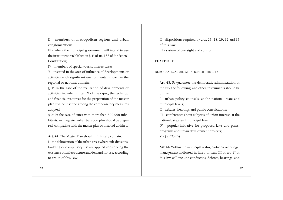II - members of metropolitan regions and urban conglomerations;

III - where the municipal government will intend to use the instrument established in §  $4^{\circ}$  of art. 182 of the Federal Constitution;

IV - members of special tourist interest areas;

V - inserted in the area of influence of developments or activities with significant environmental impact in the regional or national domain.

 $\S$  1<sup>o</sup> In the case of the realization of developments or activities included in item V of the caput, the technical and financial resources for the preparation of the master plan will be inserted among the compensatory measures adopted.

§  $2°$  In the case of cities with more than 500,000 inhabitants, an integrated urban transport plan should be prepared, compatible with the master plan or inserted within it.

**Art. 42.** The Master Plan should minimally contain:

I - the delimitation of the urban areas where sub-divisions, building or compulsory use are applied considering the existence of infrastructure and demand for use, according to art.  $5^{\circ}$  of this Law:

II - dispositions required by arts. 25, 28, 29, 32 and 35 of this Law;

III - system of oversight and control.

#### **CHAPTER IV**

DEMOCRATIC ADMINISTRATION OF THE CITY

**Art. 43.** To guarantee the democratic administration of the city, the following, and other, instruments should be utilized:

I - urban policy counsels, at the national, state and municipal levels;

II - debates, hearings and public consultations;

III - conferences about subjects of urban interest, at the national, state and municipal level;

IV - popular initiative for proposed laws and plans, programs and urban development projects; V - (VETOED)

**Art. 44.** Within the municipal realm, participative budget management indicated in line f of item III of art. 4<sup>o</sup> of this law will include conducting debates, hearings, and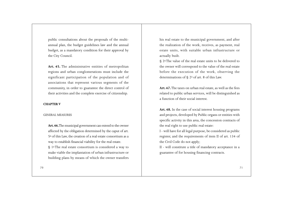public consultations about the proposals of the multiannual plan, the budget guidelines law and the annual budget, as a mandatory condition for their approval by the City Council.

**Art. 45.** The administrative entities of metropolitan regions and urban conglomerations must include the significant participation of the population and of associations that represent various segments of the community, in order to guarantee the direct control of their activities and the complete exercise of citizenship.

#### **CHAPTER V**

#### GENERAL MEASURES

**Art. 46.** The municipal government can extend to the owner affected by the obligation determined by the caput of art.  $5^{\circ}$  of this Law, the creation of a real estate consortium as a way to establish financial viability for the real estate.

§ 1º The real estate consortium is considered a way to make viable the implantation of urban infrastructure or building plans by means of which the owner transfers his real estate to the municipal government, and after the realization of the work, receives, as payment, real estate units, with suitable urban infrastructure or actually built.

 $\S$  2<sup>o</sup> The value of the real estate units to be delivered to the owner will correspond to the value of the real estate before the execution of the work, observing the determinations of  $\S$  2<sup>o</sup> of art. 8 of this Law.

**Art. 47.** The taxes on urban real estate, as well as the fees related to public urban services, will be distinguished as a function of their social interest.

**Art. 48.** In the case of social interest housing programs and projects, developed by Public organs or entities with specific activity in this area, the concession contracts of the real right to use public real estate:

I - will have for all legal purpose, be considered as public register, and the requirements of item II of art. 134 of the Civil Code do not apply;

II - will constitute a title of mandatory acceptance in a guarantee of for housing financing contracts.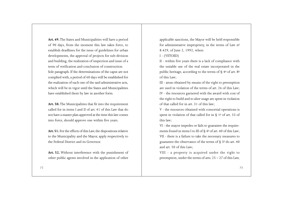**Art. 49.** The States and Municipalities will have a period of 90 days, from the moment this law takes force, to establish deadlines for the issue of guidelines for urban developments, the approval of projects for sub-division and building, the realization of inspection and issue of a term of verification and conclusion of construction. Sole paragraph. If the determinations of the caput are not complied with, a period of 60 days will be established for the realization of each one of the said administrative acts, which will be in vigor until the States and Municipalities have established them by law in another form.

**Art. 50.** The Municipalities that fit into the requirement called for in items I and II of art. 41 of this Law that do not have a master plan approved at the time this law comes into force, should approve one within five years.

**Art. 51.** For the effects of this Law, the dispositions relative to the Municipality and the Mayor, apply respectively to the Federal District and its Governor.

**Art. 52.** Without interference with the punishment of other public agents involved in the application of other applicable sanctions, the Mayor will be held responsible for administrative impropriety, in the terms of Law  $n<sup>o</sup>$ 8.429, of June 2, 1992, when:

I - (VETOED)

II - within five years there is a lack of compliance with the suitable use of the real estate incorporated in the public heritage, according to the terms of §  $4^{\circ}$  of art.  $8^{\circ}$ of this Law;

III - areas obtained by means of the right to preemption are used in violation of the terms of art. 26 of this Law; IV - the resources garnered with the award with cost of the right to build and to alter usage are spent in violation of that called for in art. 31 of this law;

V - the resources obtained with consortial operations is spent in violation of that called for in §  $1°$  of art. 33 of this law;

VI - the mayor impedes or fails to guarantee the requirements found in items I to III of  $\S 4^{\circ}$  of art. 40 of this Law; VII - there is a failure to take the necessary measures to guarantee the observance of the terms of  $\S$   $3^{\circ}$  do art. 40 and art. 50 of this Law;

VIII - a property is acquired under the right to preemption, under the terms of arts.  $25 - 27$  of this Law,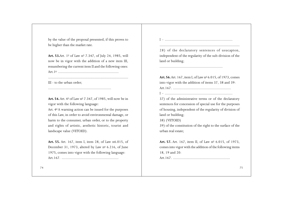by the value of the proposal presented, if this proves to be higher than the market rate.

**Art. 53.**Art. 1<sup>o</sup> of Law n<sup>o</sup> 7.347, of July 24, 1985, will now be in vigor with the addition of a new item III, renumbering the current item II and the following ones: Art.1o .................................................................

................................................................................................

...................................................................

III - to the urban order;

**Art. 54.** Art. 4<sup>o</sup> of Law n<sup>o</sup> 7.347, of 1985, will now be in vigor with the following language:

Art.  $4^{\circ}$  A warning action can be issued for the purposes of this Law, in order to avoid environmental damage, or harm to the consumer, urban order, or to the property and rights of artistic, aesthetic historic, tourist and landscape value (VETOED).

**Art. 55.** Art. 167, item I, item 28, of Law n6.015, of December 31, 1973, altered by Law  $n^{\circ}$  6.216, of June 1975, comes into vigor with the following language: Art.167. .............................................................

I - .........................................................................

...................................................................

28) of the declaratory sentences of usucapion, independent of the regularity of the sub-division of the land or building;

...................................................................................................

**Art. 56.** Art. 167, item I, of Law n<sup>o</sup> 6.015, of 1973, comes into vigor with the addition of items 37, 38 and 39: Art.167. ..............................................................

I - .........................................................................

37) of the administrative terms or of the declaratory sentences for concession of special use for the purposes of housing, independent of the regularity of division of land or building;

38) (VETOED)

39) of the constitution of the right to the surface of the urban real estate;

Art. 57. Art. 167, item II, of Law nº 6.015, of 1973, comes into vigor with the addition of the following items 18, 19 and 20: Art.167. .............................................................

 $74$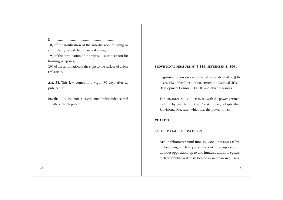II - .......................................................................

18) of the notification of the sub-division, building or compulsory use of the urban real estate;

19) of the termination of the special use concession for housing purposes;

20) of the termination of the right to the surface of urban real estate.

**Art. 58.** This law comes into vigor 90 days after its publication.

Brasilia, July 10, 2001; 180th since Independence and 113th of the Republic.

## **PROVISIONAL MEASURE <sup>N</sup><sup>O</sup> 2.220, SEPTEMBER 4, 2001**

Regulates the concession of special use established by §  $1^{\circ}$ of art. 183 of the Constitution, creates the National Urban Development Counsel – CNDU and other measures.

The PRESIDENT OF THE REPUBLIC, with the power granted to him by art. 62 of the Constitution, adopts this Provisional Measure, which has the power of law:

#### **CHAPTER I**

#### OF THE SPECIAL USE CONCESSION

Art. 1<sup>o</sup>Whomever, until June 30, 2001, possesses as his or her own, for five years, without interruption and without opposition, up to two hundred and fifty square meters of public real estate located in an urban area, using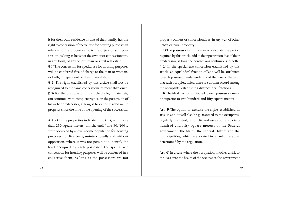it for their own residence or that of their family, has the right to concession of special use for housing purposes in relation to the property that is the object of said possession, as long as he is not the owner or concessionaire, in any form, of any other urban or rural real estate. § 1º The concession for special use for housing purposes will be conferred free of charge to the man or woman, or both, independent of their marital status.

 $\S$  2<sup>o</sup> The right established by this article shall not be recognized to the same concessionaire more than once.  $\S$  3<sup>o</sup> For the purposes of this article the legitimate heir, can continue, with complete rights, on the possession of his or her predecessor, as long as he or she resided in the property since the time of the opening of the succession.

Art. 2<sup>o</sup> In the properties indicated in art. 1<sup>o</sup>, with more than 250 square meters, which, until June 30, 2001, were occupied by a low income population for housing purposes, for five years, uninterruptedly and without opposition, where it was not possible to identify the land occupied by each possessor, the special use concession for housing purposes will be conferred in a collective form, as long as the possessors are not property owners or concessionaires, in any way, of other urban or rural property.

 $\S$  1<sup>o</sup> The possessor can, in order to calculate the period required by this article, add to their possession that of their predecessor, as long the contact was continuous to both.  $\S$  2<sup>o</sup> In the special use concession established by this article, an equal ideal fraction of land will be attributed to each possessor, independently of the size of the land that each occupies, unless there is a written accord among the occupants, establishing distinct ideal fractions.  $\S$  3<sup>o</sup> The ideal fraction attributed to each possessor cannot be superior to two hundred and fifty square meters.

Art. 3<sup>o</sup> The option to exercise the rights established in arts.  $1^{\circ}$  and  $2^{\circ}$  will also be guaranteed to the occupants, regularly inscribed, in public real estate, of up to two hundred and fifty square meters, of the Federal government, the States, the Federal District and the municipalities, which are located in an urban area, as determined by the regulation.

Art. 4<sup>o</sup> In a case where the occupation involves a risk to the lives or to the health of the occupants, the government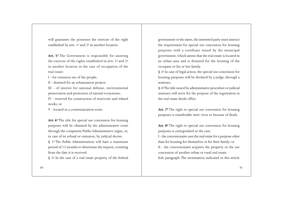will guarantee the possessor the exercise of the right established by arts.  $1^{\circ}$  and  $2^{\circ}$  in another location.

Art. 5<sup>o</sup> The Government is responsible for assuring the exercise of the rights established in arts.  $1^{\circ}$  and  $2^{\circ}$ in another location in the case of occupation of the real estate:

I - for common use of the people;

II - destined for an urbanization project;

III - of interest for national defense, environmental preservation and protection of natural ecosystems; IV - reserved for construction of reservoirs and related

works; or

V - located in a communication route.

Art. 6<sup>o</sup> The title for special use concession for housing purposes will be obtained by the administrative route through the competent Public Administrative organ, or, in case of its refusal or omission, by judicial decree.  $§$  1<sup>o</sup> The Public Administration will have a maximum period of 12 months to determine the request, counting from the date it is received.

 $\S$  2<sup>o</sup> In the case of a real estate property of the federal

government or the states, the interested party must instruct the requirement for special use concession for housing purposes with a certificate issued by the municipal government, which attests that the real estate is located in an urban area and is destined for the housing of the occupant or his or her family.

§ 3<sup>o</sup> In case of legal action, the special use concession for housing purposes will be declared by a judge, through a sentence.

§ 4°The title issued by administrative procedure or judicial sentence will serve for the purpose of the registration in the real estate deeds office.

Art. 7<sup>o</sup> The right to special use concession for housing purposes is transferable inter vivos or because of death.

Art. 8<sup>o</sup> The right to special use concession for housing purposes is extinguished in the case:

I - the concessionaire uses the real estate for a purpose other than for housing for themselves or for their family; or II - the concessionaire acquires the property or the use concession of another urban or rural real estate.

Sole paragraph. The termination indicated in this article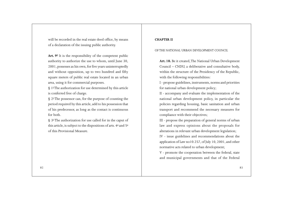will be recorded in the real estate deed office, by means of a declaration of the issuing public authority.

Art. 9<sup>o</sup> It is the responsibility of the competent public authority to authorize the use to whom, until June 30, 2001, possesses as his own, for five years uninterruptedly and without opposition, up to two hundred and fifty square meters of public real estate located in an urban area, using it for commercial purposes.

 $\S$  1°The authorization for use determined by this article is conferred free of charge.

 $\S$  2<sup>o</sup> The possessor can, for the purpose of counting the period required by this article, add to his possession that of his predecessor, as long as the contact is continuous for both.

§ 3º The authorization for use called for in the caput of this article, is subject to the dispositions of arts.  $4^{\circ}$  and  $5^{\circ}$ of this Provisional Measure.

#### **CHAPTER II**

OF THE NATIONAL URBAN DEVELOPMENT COUNCIL

**Art. 10.** Be it created, The National Urban Development Council – CNDU, a deliberative and consultative body, within the structure of the Presidency of the Republic, with the following responsibilities:

I - propose guidelines, instruments, norms and priorities for national urban development policy;

II - accompany and evaluate the implementation of the national urban development policy, in particular the policies regarding housing, basic sanitation and urban transport and recommend the necessary measures for compliance with their objectives;

III - propose the preparation of general norms of urban law and express opinions about the proposals for alterations in relevant urban development legislation;

IV - issue guidelines and recommendations about the application of Law no10.257, of July 10, 2001, and other normative acts related to urban development;

V - promote the cooperation between the federal, state and municipal governments and that of the Federal